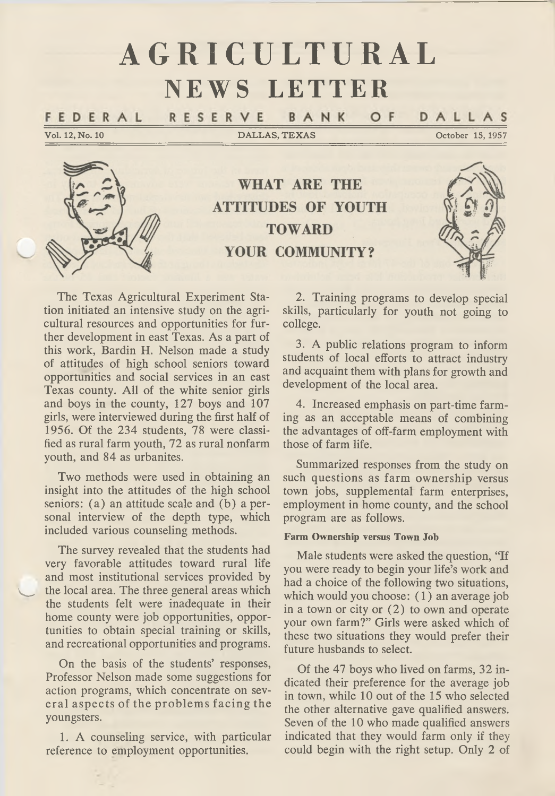# **AGRICULTURAL NEWS LETTER**

RESERVE DALLAS BANK O F FEDERAL

Vol. 12, No. 10 DALLAS, TEXAS October 15, 1957



**WHAT ARE THE ATTITUDES OF YOUTH TOWARD** YOUR COMMUNITY?



The Texas Agricultural Experiment Sta-<br>tion initiated an intensive study on the agri-<br>cultural resources and opportunities for fur-<br>ther development in east Texas. As a part of<br>this work, Bardin H. Nelson made a study<br>of a

Two methods were used in obtaining an insight into the attitudes of the high school seniors: (a) an attitude scale and (b) a per sonal interview of the depth type, which included various counseling methods.

The survey revealed that the students had very favorable attitudes toward rural life and most institutional services provided by the local area. The three general areas which the students felt were inadequate in their<br>home county were job opportunities, oppor-<br>tunities to obtain special training or skills,<br>and recreational opportunities and programs.

On the basis of the students' responses, Professor Nelson made some suggestions for action programs, which concentrate on sev eral aspects of the problem s facing the youngsters.

1. A counseling service, with particular reference to employment opportunities.

2. Training programs to develop special skills, particularly for youth not going to college.

3. A public relations program to inform students of local efforts to attract industry and acquaint them with plans for growth and development of the local area.

4. Increased emphasis on part-time farm-<br>ing as an acceptable means of combining<br>the advantages of off-farm employment with<br>those of farm life.

Summarized responses from the study on such questions as farm ownership versus town jobs, supplemental farm enterprises, employment in home county, and the school program are as follows.

#### **Farm Ownership versus Town Job**

Male students were asked the question, "If<br>you were ready to begin your life's work and<br>had a choice of the following two situations,<br>which would you choose: (1) an average job<br>in a town or city or (2) to own and operate<br>y

Of the 47 boys who lived on farms, 32 indicated their preference for the average job<br>in town, while 10 out of the 15 who selected<br>the other alternative gave qualified answers.<br>Seven of the 10 who made qualified answers<br>ind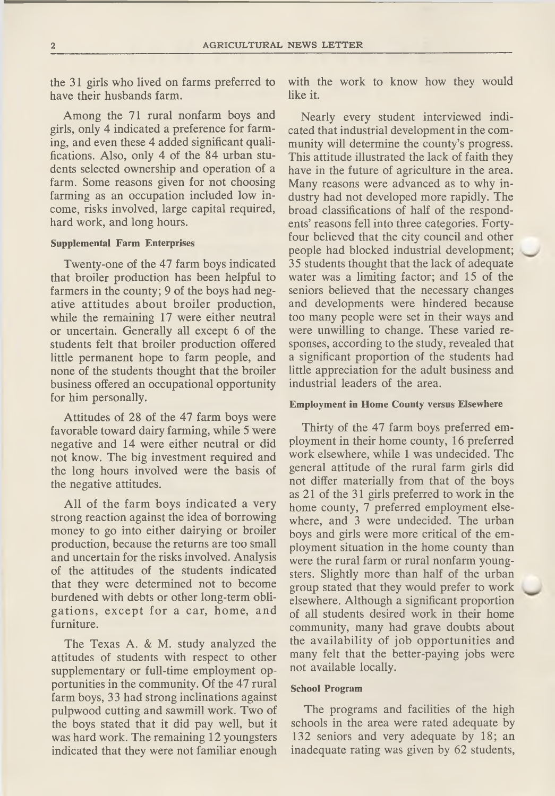the 31 girls who lived on farms preferred to have their husbands farm.

Among the 71 rural nonfarm boys and<br>girls, only 4 indicated a preference for farm-<br>ing, and even these 4 added significant quali-<br>fications. Also, only 4 of the 84 urban stu-<br>dents selected ownership and operation of a<br>far

#### **Supplemental Farm Enterprises**

Twenty-one of the 47 farm boys indicated<br>that broiler production has been helpful to<br>farmers in the county; 9 of the boys had neg-<br>ative attitudes about broiler production,<br>while the remaining 17 were either neutral<br>or unc

Attitudes of 28 of the 47 farm boys were<br>favorable toward dairy farming, while 5 were<br>negative and 14 were either neutral or did<br>not know. The big investment required and<br>the long hours involved were the basis of<br>the negat

All of the farm boys indicated a very<br>strong reaction against the idea of borrowing<br>money to go into either dairying or broiler<br>production, because the returns are too small<br>and uncertain for the risks involved. Analysis<br>o

The Texas A. & M. study analyzed the<br>attitudes of students with respect to other<br>supplementary or full-time employment op-<br>portunities in the community. Of the 47 rural<br>farm boys, 33 had strong inclinations against<br>pulpwoo

with the work to know how they would like it.

Nearly every student interviewed indicated that industrial development in the community will determine the county's progress.<br>This attitude illustrated the lack of faith they have in the future of agriculture in the area.

#### **Employment in Home County versus Elsewhere**

Thirty of the 47 farm boys preferred em-<br>ployment in their home county, 16 preferred<br>work elsewhere, while 1 was undecided. The<br>general attitude of the rural farm girls did<br>not differ materially from that of the boys<br>as 21

#### **School Program**

The programs and facilities of the high schools in the area were rated adequate by 132 seniors and very adequate by 18; an inadequate rating was given by 62 students,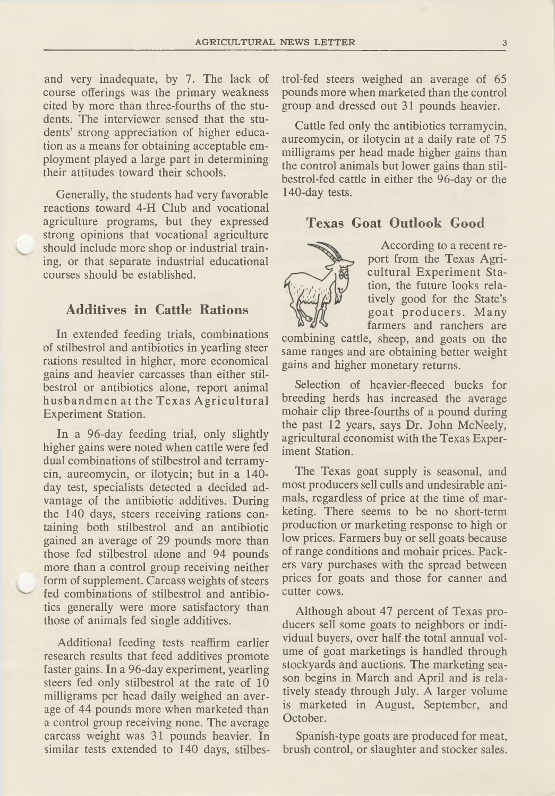and very inadequate, by 7. The lack of course offerings was the primary weakness cited by more than three-fourths of the students. The interviewer sensed that the students' strong appreciation of higher education as a mean

Generally, the students had very favorable<br>reactions toward 4-H Club and vocational<br>agriculture programs, but they expressed<br>strong opinions that vocational agriculture<br>should include more shop or industrial train-<br>ing, or

## **Additives in Cattle Rations**

In extended feeding trials, combinations<br>of stilbestrol and antibiotics in yearling steer<br>rations resulted in higher, more economical<br>gains and heavier carcasses than either stil-<br>bestrol or antibiotics alone, report anima

In a 96-day feeding trial, only slightly<br>higher gains were noted when cattle were fed<br>dual combinations of stilbestrol and terramy-<br>cin, aureomycin, or ilotycin; but in a 140-<br>day test, specialists detected a decided ad-<br>v

Additional feeding tests reaffirm earlier<br>research results that feed additives promote<br>faster gains. In a 96-day experiment, yearling<br>steers fed only stilbestrol at the rate of 10<br>milligrams per head daily weighed an aver-

trol-fed steers weighed an average of 65 pounds more when marketed than the control group and dressed out 31 pounds heavier.

Cattle fed only the antibiotics terramycin,<br>aureomycin, or ilotycin at a daily rate of 75<br>milligrams per head made higher gains than<br>the control animals but lower gains than stil-<br>bestrol-fed cattle in either the 96-day or

## **Texas Goat Outlook Good**



According to a recent report from the Texas Agricultural Experiment Station, the future looks relations to the State's goat producers. Many farmers and ranchers are combining cattle, sheep, and goats on the same ranges and

Selection of heavier-fleeced bucks for breeding herds has increased the average mohair clip three-fourths of a pound during the past 12 years, says Dr. John McNeely, agricultural economist with the Texas Experiment Station

The Texas goat supply is seasonal, and<br>most producers sell culls and undesirable ani-<br>mals, regardless of price at the time of mar-<br>keting. There seems to be no short-term<br>production or marketing response to high or<br>low pr prices for goats and those for canner and cutter cows.

Although about 47 percent of Texas pro-<br>ducers sell some goats to neighbors or indi-<br>vidual buyers, over half the total annual vol-<br>ume of goat marketings is handled through<br>stockyards and auctions. The marketing sea-<br>son

Spanish-type goats are produced for meat, brush control, or slaughter and stocker sales.